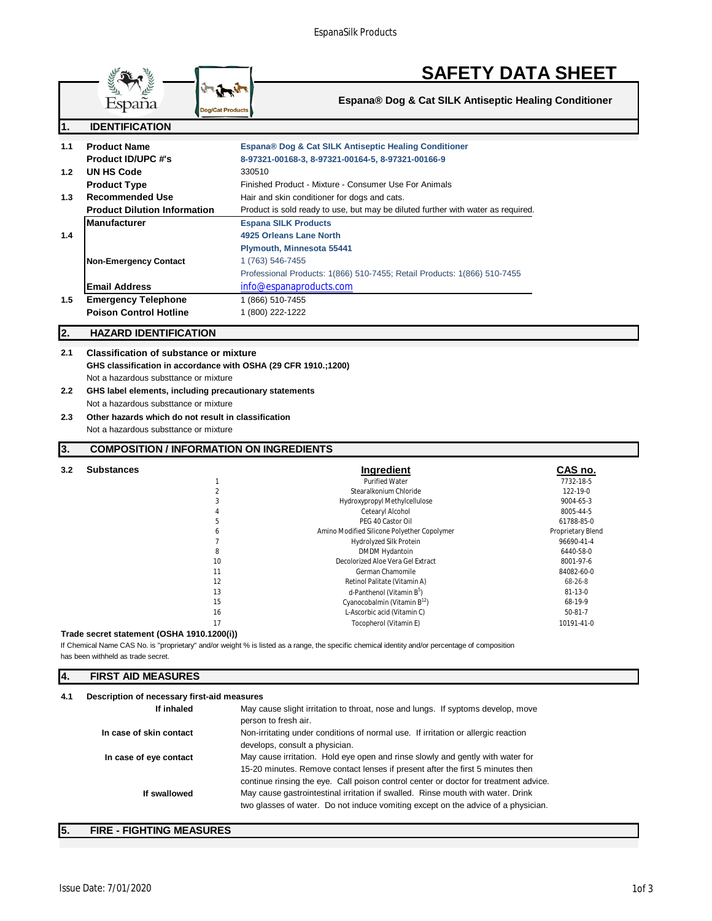|     |                                                                                                                                          | <b>SAFETY DATA SHEET</b>                                                                                                                                                                                                                                 |                       |
|-----|------------------------------------------------------------------------------------------------------------------------------------------|----------------------------------------------------------------------------------------------------------------------------------------------------------------------------------------------------------------------------------------------------------|-----------------------|
|     | España<br><b>Dog/Cat Products</b>                                                                                                        | Espana® Dog & Cat SILK Antiseptic Healing Conditioner                                                                                                                                                                                                    |                       |
| 1.  | <b>IDENTIFICATION</b>                                                                                                                    |                                                                                                                                                                                                                                                          |                       |
| 1.1 | <b>Product Name</b><br><b>Product ID/UPC #'s</b>                                                                                         | Espana® Dog & Cat SILK Antiseptic Healing Conditioner<br>8-97321-00168-3, 8-97321-00164-5, 8-97321-00166-9                                                                                                                                               |                       |
| 1.2 | <b>UN HS Code</b><br><b>Product Type</b>                                                                                                 | 330510<br>Finished Product - Mixture - Consumer Use For Animals                                                                                                                                                                                          |                       |
| 1.3 | <b>Recommended Use</b><br><b>Product Dilution Information</b>                                                                            | Hair and skin conditioner for dogs and cats.<br>Product is sold ready to use, but may be diluted further with water as required.                                                                                                                         |                       |
| 1.4 | <b>Manufacturer</b>                                                                                                                      | <b>Espana SILK Products</b><br>4925 Orleans Lane North                                                                                                                                                                                                   |                       |
|     | <b>Non-Emergency Contact</b>                                                                                                             | Plymouth, Minnesota 55441<br>1 (763) 546-7455<br>Professional Products: 1(866) 510-7455; Retail Products: 1(866) 510-7455                                                                                                                                |                       |
|     | <b>Email Address</b>                                                                                                                     | info@espanaproducts.com                                                                                                                                                                                                                                  |                       |
| 1.5 | <b>Emergency Telephone</b><br><b>Poison Control Hotline</b>                                                                              | 1 (866) 510-7455<br>1 (800) 222-1222                                                                                                                                                                                                                     |                       |
| 2.  | <b>HAZARD IDENTIFICATION</b>                                                                                                             |                                                                                                                                                                                                                                                          |                       |
| 2.1 | <b>Classification of substance or mixture</b><br>GHS classification in accordance with OSHA (29 CFR 1910.;1200)                          |                                                                                                                                                                                                                                                          |                       |
| 2.2 | Not a hazardous substtance or mixture<br>GHS label elements, including precautionary statements<br>Not a hazardous substtance or mixture |                                                                                                                                                                                                                                                          |                       |
| 2.3 | Other hazards which do not result in classification<br>Not a hazardous substtance or mixture                                             |                                                                                                                                                                                                                                                          |                       |
|     |                                                                                                                                          |                                                                                                                                                                                                                                                          |                       |
| 3.  | <b>COMPOSITION / INFORMATION ON INGREDIENTS</b>                                                                                          |                                                                                                                                                                                                                                                          |                       |
| 3.2 | <b>Substances</b>                                                                                                                        | <b>Ingredient</b>                                                                                                                                                                                                                                        | CAS no.               |
|     | $\mathbf{1}$                                                                                                                             | <b>Purified Water</b>                                                                                                                                                                                                                                    | 7732-18-5             |
|     | 2<br>3                                                                                                                                   | Stearalkonium Chloride                                                                                                                                                                                                                                   | 122-19-0<br>9004-65-3 |
|     | 4                                                                                                                                        | Hydroxypropyl Methylcellulose<br>Cetearyl Alcohol                                                                                                                                                                                                        | 8005-44-5             |
|     | 5                                                                                                                                        | PEG 40 Castor Oil                                                                                                                                                                                                                                        | 61788-85-0            |
|     | 6                                                                                                                                        | Amino Modified Silicone Polyether Copolymer                                                                                                                                                                                                              | Proprietary Blend     |
|     | $\overline{7}$                                                                                                                           | Hydrolyzed Silk Protein                                                                                                                                                                                                                                  | 96690-41-4            |
|     | 8                                                                                                                                        | <b>DMDM Hydantoin</b>                                                                                                                                                                                                                                    | 6440-58-0             |
|     | 10                                                                                                                                       | Decolorized Aloe Vera Gel Extract                                                                                                                                                                                                                        | 8001-97-6             |
|     | 11                                                                                                                                       | German Chamomile                                                                                                                                                                                                                                         | 84082-60-0            |
|     | 12                                                                                                                                       | Retinol Palitate (Vitamin A)                                                                                                                                                                                                                             | 68-26-8               |
|     | 13<br>15                                                                                                                                 | d-Panthenol (Vitamin B <sup>b</sup> )<br>Cyanocobalmin (Vitamin B <sup>12</sup> )                                                                                                                                                                        | 81-13-0<br>68-19-9    |
|     | 16                                                                                                                                       | L-Ascorbic acid (Vitamin C)                                                                                                                                                                                                                              | $50 - 81 - 7$         |
|     | 17<br>Trade secret statement (OSHA 1910.1200(i))<br>has been withheld as trade secret.                                                   | Tocopherol (Vitamin E)<br>If Chemical Name CAS No. is "proprietary" and/or weight % is listed as a range, the specific chemical identity and/or percentage of composition                                                                                | 10191-41-0            |
| 4.  | <b>FIRST AID MEASURES</b>                                                                                                                |                                                                                                                                                                                                                                                          |                       |
| 4.1 | Description of necessary first-aid measures                                                                                              |                                                                                                                                                                                                                                                          |                       |
|     | If inhaled                                                                                                                               | May cause slight irritation to throat, nose and lungs. If syptoms develop, move<br>person to fresh air.                                                                                                                                                  |                       |
|     | In case of skin contact                                                                                                                  | Non-irritating under conditions of normal use. If irritation or allergic reaction<br>develops, consult a physician.                                                                                                                                      |                       |
|     | In case of eye contact                                                                                                                   | May cause irritation. Hold eye open and rinse slowly and gently with water for<br>15-20 minutes. Remove contact lenses if present after the first 5 minutes then<br>continue rinsing the eye. Call poison control center or doctor for treatment advice. |                       |

# **5. FIRE - FIGHTING MEASURES**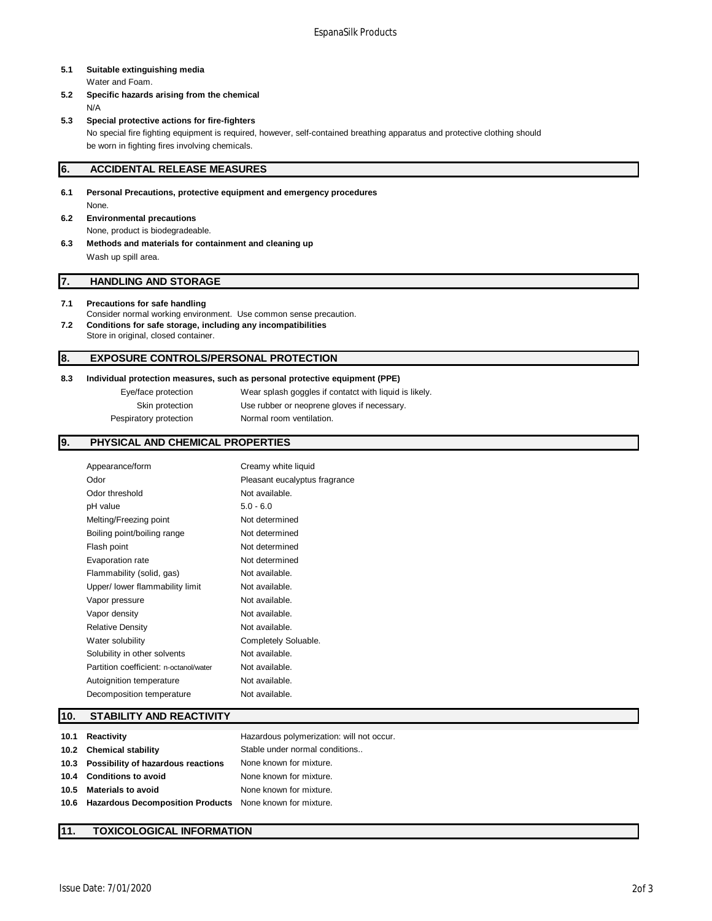# **5.1 Suitable extinguishing media**

Water and Foam.

- **5.2 Specific hazards arising from the chemical** N/A
- **5.3 Special protective actions for fire-fighters** No special fire fighting equipment is required, however, self-contained breathing apparatus and protective clothing should be worn in fighting fires involving chemicals.

#### **6. ACCIDENTAL RELEASE MEASURES**

- **6.1 Personal Precautions, protective equipment and emergency procedures** None.
- **6.2 Environmental precautions** None, product is biodegradeable.
- **6.3 Methods and materials for containment and cleaning up** Wash up spill area.

#### **7. HANDLING AND STORAGE**

#### **7.1 Precautions for safe handling**

Consider normal working environment. Use common sense precaution. **7.2 Conditions for safe storage, including any incompatibilities** Store in original, closed container.

#### **8. EXPOSURE CONTROLS/PERSONAL PROTECTION**

## **8.3 Individual protection measures, such as personal protective equipment (PPE)**

Eye/face protection Wear splash goggles if contatct with liquid is likely. Skin protection Use rubber or neoprene gloves if necessary. Pespiratory protection Normal room ventilation.

#### **9. PHYSICAL AND CHEMICAL PROPERTIES**

| Appearance/form                        | Creamy white liquid           |
|----------------------------------------|-------------------------------|
| Odor                                   | Pleasant eucalyptus fragrance |
| Odor threshold                         | Not available.                |
| pH value                               | $5.0 - 6.0$                   |
| Melting/Freezing point                 | Not determined                |
| Boiling point/boiling range            | Not determined                |
| Flash point                            | Not determined                |
| Evaporation rate                       | Not determined                |
| Flammability (solid, gas)              | Not available.                |
| Upper/ lower flammability limit        | Not available.                |
| Vapor pressure                         | Not available.                |
| Vapor density                          | Not available.                |
| <b>Relative Density</b>                | Not available.                |
| Water solubility                       | Completely Soluable.          |
| Solubility in other solvents           | Not available.                |
| Partition coefficient: n-octanol/water | Not available.                |
| Autoignition temperature               | Not available.                |
| Decomposition temperature              | Not available.                |

#### **10. STABILITY AND REACTIVITY**

| 10.1 Reactivity                                               | Hazardous polymerization: will not occur. |
|---------------------------------------------------------------|-------------------------------------------|
| 10.2 Chemical stability                                       | Stable under normal conditions            |
| 10.3 Possibility of hazardous reactions                       | None known for mixture.                   |
| 10.4 Conditions to avoid                                      | None known for mixture.                   |
| 10.5 Materials to avoid                                       | None known for mixture.                   |
| 10.6 Hazardous Decomposition Products None known for mixture. |                                           |

## **11. TOXICOLOGICAL INFORMATION**